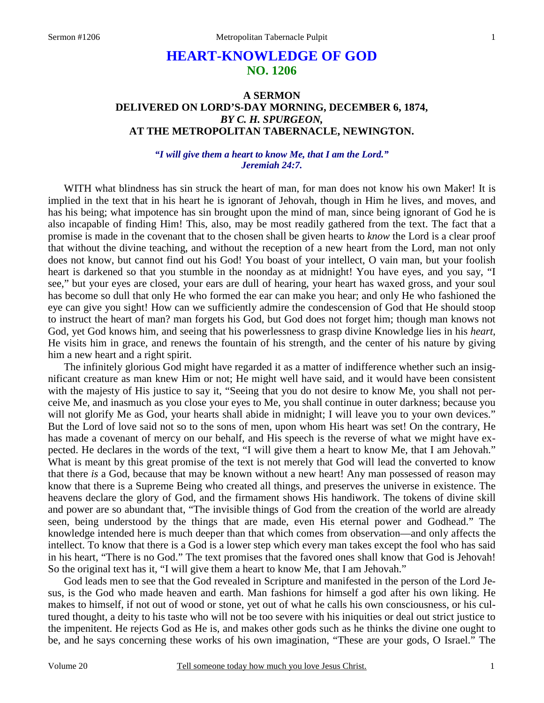# **HEART-KNOWLEDGE OF GOD NO. 1206**

### **A SERMON DELIVERED ON LORD'S-DAY MORNING, DECEMBER 6, 1874,**  *BY C. H. SPURGEON,*  **AT THE METROPOLITAN TABERNACLE, NEWINGTON.**

### *"I will give them a heart to know Me, that I am the Lord." Jeremiah 24:7.*

WITH what blindness has sin struck the heart of man, for man does not know his own Maker! It is implied in the text that in his heart he is ignorant of Jehovah, though in Him he lives, and moves, and has his being; what impotence has sin brought upon the mind of man, since being ignorant of God he is also incapable of finding Him! This, also, may be most readily gathered from the text. The fact that a promise is made in the covenant that to the chosen shall be given hearts to *know* the Lord is a clear proof that without the divine teaching, and without the reception of a new heart from the Lord, man not only does not know, but cannot find out his God! You boast of your intellect, O vain man, but your foolish heart is darkened so that you stumble in the noonday as at midnight! You have eyes, and you say, "I see," but your eyes are closed, your ears are dull of hearing, your heart has waxed gross, and your soul has become so dull that only He who formed the ear can make you hear; and only He who fashioned the eye can give you sight! How can we sufficiently admire the condescension of God that He should stoop to instruct the heart of man? man forgets his God, but God does not forget him; though man knows not God, yet God knows him, and seeing that his powerlessness to grasp divine Knowledge lies in his *heart,* He visits him in grace, and renews the fountain of his strength, and the center of his nature by giving him a new heart and a right spirit.

The infinitely glorious God might have regarded it as a matter of indifference whether such an insignificant creature as man knew Him or not; He might well have said, and it would have been consistent with the majesty of His justice to say it, "Seeing that you do not desire to know Me, you shall not perceive Me, and inasmuch as you close your eyes to Me, you shall continue in outer darkness; because you will not glorify Me as God, your hearts shall abide in midnight; I will leave you to your own devices." But the Lord of love said not so to the sons of men, upon whom His heart was set! On the contrary, He has made a covenant of mercy on our behalf, and His speech is the reverse of what we might have expected. He declares in the words of the text, "I will give them a heart to know Me, that I am Jehovah." What is meant by this great promise of the text is not merely that God will lead the converted to know that there *is* a God, because that may be known without a new heart! Any man possessed of reason may know that there is a Supreme Being who created all things, and preserves the universe in existence. The heavens declare the glory of God, and the firmament shows His handiwork. The tokens of divine skill and power are so abundant that, "The invisible things of God from the creation of the world are already seen, being understood by the things that are made, even His eternal power and Godhead." The knowledge intended here is much deeper than that which comes from observation—and only affects the intellect. To know that there is a God is a lower step which every man takes except the fool who has said in his heart, "There is no God." The text promises that the favored ones shall know that God is Jehovah! So the original text has it, "I will give them a heart to know Me, that I am Jehovah."

God leads men to see that the God revealed in Scripture and manifested in the person of the Lord Jesus, is the God who made heaven and earth. Man fashions for himself a god after his own liking. He makes to himself, if not out of wood or stone, yet out of what he calls his own consciousness, or his cultured thought, a deity to his taste who will not be too severe with his iniquities or deal out strict justice to the impenitent. He rejects God as He is, and makes other gods such as he thinks the divine one ought to be, and he says concerning these works of his own imagination, "These are your gods, O Israel." The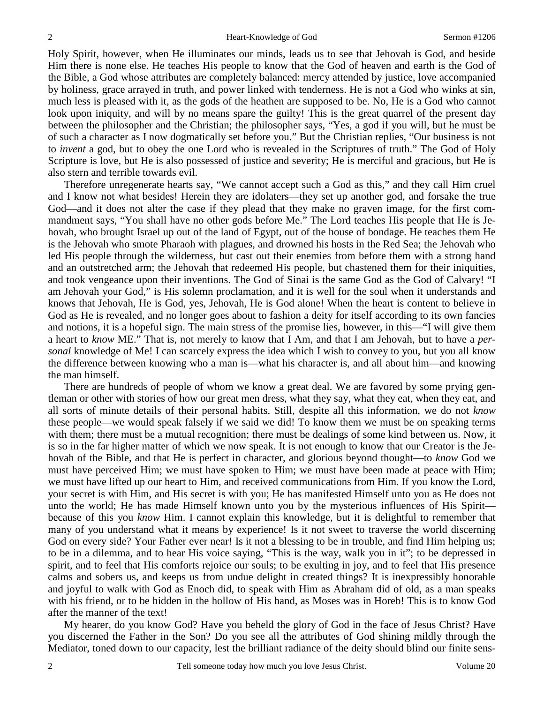2

Holy Spirit, however, when He illuminates our minds, leads us to see that Jehovah is God, and beside Him there is none else. He teaches His people to know that the God of heaven and earth is the God of the Bible, a God whose attributes are completely balanced: mercy attended by justice, love accompanied by holiness, grace arrayed in truth, and power linked with tenderness. He is not a God who winks at sin, much less is pleased with it, as the gods of the heathen are supposed to be. No, He is a God who cannot look upon iniquity, and will by no means spare the guilty! This is the great quarrel of the present day between the philosopher and the Christian; the philosopher says, "Yes, a god if you will, but he must be of such a character as I now dogmatically set before you." But the Christian replies, "Our business is not to *invent* a god, but to obey the one Lord who is revealed in the Scriptures of truth." The God of Holy Scripture is love, but He is also possessed of justice and severity; He is merciful and gracious, but He is also stern and terrible towards evil.

Therefore unregenerate hearts say, "We cannot accept such a God as this," and they call Him cruel and I know not what besides! Herein they are idolaters—they set up another god, and forsake the true God—and it does not alter the case if they plead that they make no graven image, for the first commandment says, "You shall have no other gods before Me." The Lord teaches His people that He is Jehovah, who brought Israel up out of the land of Egypt, out of the house of bondage. He teaches them He is the Jehovah who smote Pharaoh with plagues, and drowned his hosts in the Red Sea; the Jehovah who led His people through the wilderness, but cast out their enemies from before them with a strong hand and an outstretched arm; the Jehovah that redeemed His people, but chastened them for their iniquities, and took vengeance upon their inventions. The God of Sinai is the same God as the God of Calvary! "I am Jehovah your God," is His solemn proclamation, and it is well for the soul when it understands and knows that Jehovah, He is God, yes, Jehovah, He is God alone! When the heart is content to believe in God as He is revealed, and no longer goes about to fashion a deity for itself according to its own fancies and notions, it is a hopeful sign. The main stress of the promise lies, however, in this—"I will give them a heart to *know* ME." That is, not merely to know that I Am, and that I am Jehovah, but to have a *personal* knowledge of Me! I can scarcely express the idea which I wish to convey to you, but you all know the difference between knowing who a man is—what his character is, and all about him—and knowing the man himself.

There are hundreds of people of whom we know a great deal. We are favored by some prying gentleman or other with stories of how our great men dress, what they say, what they eat, when they eat, and all sorts of minute details of their personal habits. Still, despite all this information, we do not *know* these people—we would speak falsely if we said we did! To know them we must be on speaking terms with them; there must be a mutual recognition; there must be dealings of some kind between us. Now, it is so in the far higher matter of which we now speak. It is not enough to know that our Creator is the Jehovah of the Bible, and that He is perfect in character, and glorious beyond thought—to *know* God we must have perceived Him; we must have spoken to Him; we must have been made at peace with Him; we must have lifted up our heart to Him, and received communications from Him. If you know the Lord, your secret is with Him, and His secret is with you; He has manifested Himself unto you as He does not unto the world; He has made Himself known unto you by the mysterious influences of His Spirit because of this you *know* Him. I cannot explain this knowledge, but it is delightful to remember that many of you understand what it means by experience! Is it not sweet to traverse the world discerning God on every side? Your Father ever near! Is it not a blessing to be in trouble, and find Him helping us; to be in a dilemma, and to hear His voice saying, "This is the way, walk you in it"; to be depressed in spirit, and to feel that His comforts rejoice our souls; to be exulting in joy, and to feel that His presence calms and sobers us, and keeps us from undue delight in created things? It is inexpressibly honorable and joyful to walk with God as Enoch did, to speak with Him as Abraham did of old, as a man speaks with his friend, or to be hidden in the hollow of His hand, as Moses was in Horeb! This is to know God after the manner of the text!

My hearer, do you know God? Have you beheld the glory of God in the face of Jesus Christ? Have you discerned the Father in the Son? Do you see all the attributes of God shining mildly through the Mediator, toned down to our capacity, lest the brilliant radiance of the deity should blind our finite sens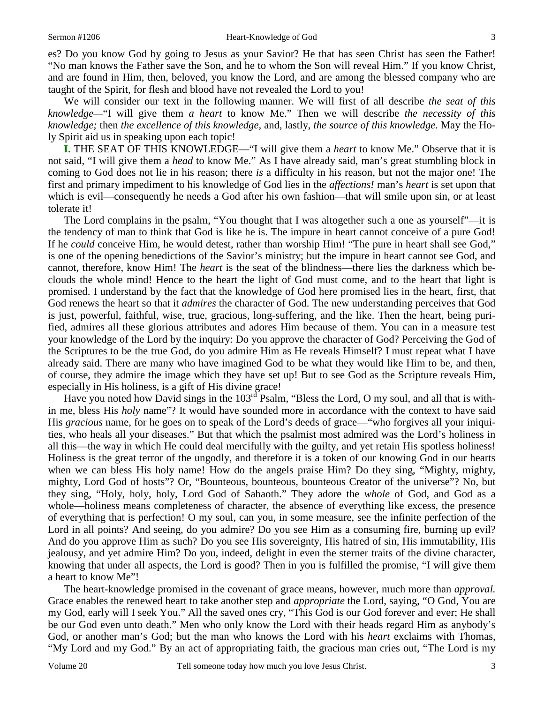es? Do you know God by going to Jesus as your Savior? He that has seen Christ has seen the Father! "No man knows the Father save the Son, and he to whom the Son will reveal Him." If you know Christ, and are found in Him, then, beloved, you know the Lord, and are among the blessed company who are taught of the Spirit, for flesh and blood have not revealed the Lord to you!

We will consider our text in the following manner. We will first of all describe *the seat of this knowledge—*"I will give them *a heart* to know Me." Then we will describe *the necessity of this knowledge;* then *the excellence of this knowledge,* and, lastly, *the source of this knowledge*. May the Holy Spirit aid us in speaking upon each topic!

**I.** THE SEAT OF THIS KNOWLEDGE—"I will give them a *heart* to know Me." Observe that it is not said, "I will give them a *head* to know Me." As I have already said, man's great stumbling block in coming to God does not lie in his reason; there *is* a difficulty in his reason, but not the major one! The first and primary impediment to his knowledge of God lies in the *affections!* man's *heart* is set upon that which is evil—consequently he needs a God after his own fashion—that will smile upon sin, or at least tolerate it!

The Lord complains in the psalm, "You thought that I was altogether such a one as yourself"—it is the tendency of man to think that God is like he is. The impure in heart cannot conceive of a pure God! If he *could* conceive Him, he would detest, rather than worship Him! "The pure in heart shall see God," is one of the opening benedictions of the Savior's ministry; but the impure in heart cannot see God, and cannot, therefore, know Him! The *heart* is the seat of the blindness—there lies the darkness which beclouds the whole mind! Hence to the heart the light of God must come, and to the heart that light is promised. I understand by the fact that the knowledge of God here promised lies in the heart, first, that God renews the heart so that it *admires* the character of God. The new understanding perceives that God is just, powerful, faithful, wise, true, gracious, long-suffering, and the like. Then the heart, being purified, admires all these glorious attributes and adores Him because of them. You can in a measure test your knowledge of the Lord by the inquiry: Do you approve the character of God? Perceiving the God of the Scriptures to be the true God, do you admire Him as He reveals Himself? I must repeat what I have already said. There are many who have imagined God to be what they would like Him to be, and then, of course, they admire the image which they have set up! But to see God as the Scripture reveals Him, especially in His holiness, is a gift of His divine grace!

Have you noted how David sings in the 103<sup>rd</sup> Psalm, "Bless the Lord, O my soul, and all that is within me, bless His *holy* name"? It would have sounded more in accordance with the context to have said His *gracious* name, for he goes on to speak of the Lord's deeds of grace—"who forgives all your iniquities, who heals all your diseases." But that which the psalmist most admired was the Lord's holiness in all this—the way in which He could deal mercifully with the guilty, and yet retain His spotless holiness! Holiness is the great terror of the ungodly, and therefore it is a token of our knowing God in our hearts when we can bless His holy name! How do the angels praise Him? Do they sing, "Mighty, mighty, mighty, Lord God of hosts"? Or, "Bounteous, bounteous, bounteous Creator of the universe"? No, but they sing, "Holy, holy, holy, Lord God of Sabaoth." They adore the *whole* of God, and God as a whole—holiness means completeness of character, the absence of everything like excess, the presence of everything that is perfection! O my soul, can you, in some measure, see the infinite perfection of the Lord in all points? And seeing, do you admire? Do you see Him as a consuming fire, burning up evil? And do you approve Him as such? Do you see His sovereignty, His hatred of sin, His immutability, His jealousy, and yet admire Him? Do you, indeed, delight in even the sterner traits of the divine character, knowing that under all aspects, the Lord is good? Then in you is fulfilled the promise, "I will give them a heart to know Me"!

The heart-knowledge promised in the covenant of grace means, however, much more than *approval.* Grace enables the renewed heart to take another step and *appropriate* the Lord, saying, "O God, You are my God, early will I seek You." All the saved ones cry, "This God is our God forever and ever; He shall be our God even unto death." Men who only know the Lord with their heads regard Him as anybody's God, or another man's God; but the man who knows the Lord with his *heart* exclaims with Thomas, "My Lord and my God." By an act of appropriating faith, the gracious man cries out, "The Lord is my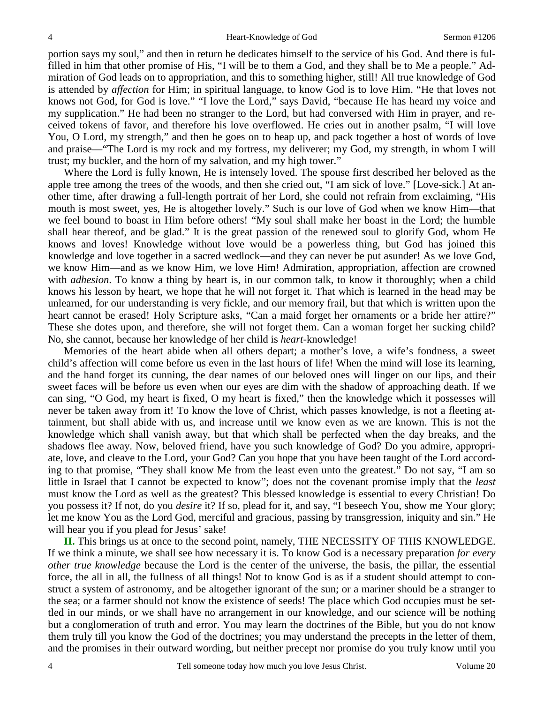portion says my soul," and then in return he dedicates himself to the service of his God. And there is fulfilled in him that other promise of His, "I will be to them a God, and they shall be to Me a people." Admiration of God leads on to appropriation, and this to something higher, still! All true knowledge of God is attended by *affection* for Him; in spiritual language, to know God is to love Him. "He that loves not knows not God, for God is love." "I love the Lord," says David, "because He has heard my voice and my supplication." He had been no stranger to the Lord, but had conversed with Him in prayer, and received tokens of favor, and therefore his love overflowed. He cries out in another psalm, "I will love You, O Lord, my strength," and then he goes on to heap up, and pack together a host of words of love and praise—"The Lord is my rock and my fortress, my deliverer; my God, my strength, in whom I will trust; my buckler, and the horn of my salvation, and my high tower."

Where the Lord is fully known, He is intensely loved. The spouse first described her beloved as the apple tree among the trees of the woods, and then she cried out, "I am sick of love." [Love-sick.] At another time, after drawing a full-length portrait of her Lord, she could not refrain from exclaiming, "His mouth is most sweet, yes, He is altogether lovely." Such is our love of God when we know Him—that we feel bound to boast in Him before others! "My soul shall make her boast in the Lord; the humble shall hear thereof, and be glad." It is the great passion of the renewed soul to glorify God, whom He knows and loves! Knowledge without love would be a powerless thing, but God has joined this knowledge and love together in a sacred wedlock—and they can never be put asunder! As we love God, we know Him—and as we know Him, we love Him! Admiration, appropriation, affection are crowned with *adhesion*. To know a thing by heart is, in our common talk, to know it thoroughly; when a child knows his lesson by heart, we hope that he will not forget it. That which is learned in the head may be unlearned, for our understanding is very fickle, and our memory frail, but that which is written upon the heart cannot be erased! Holy Scripture asks, "Can a maid forget her ornaments or a bride her attire?" These she dotes upon, and therefore, she will not forget them. Can a woman forget her sucking child? No, she cannot, because her knowledge of her child is *heart-*knowledge!

Memories of the heart abide when all others depart; a mother's love, a wife's fondness, a sweet child's affection will come before us even in the last hours of life! When the mind will lose its learning, and the hand forget its cunning, the dear names of our beloved ones will linger on our lips, and their sweet faces will be before us even when our eyes are dim with the shadow of approaching death. If we can sing, "O God, my heart is fixed, O my heart is fixed," then the knowledge which it possesses will never be taken away from it! To know the love of Christ, which passes knowledge, is not a fleeting attainment, but shall abide with us, and increase until we know even as we are known. This is not the knowledge which shall vanish away, but that which shall be perfected when the day breaks, and the shadows flee away. Now, beloved friend, have you such knowledge of God? Do you admire, appropriate, love, and cleave to the Lord, your God? Can you hope that you have been taught of the Lord according to that promise, "They shall know Me from the least even unto the greatest." Do not say, "I am so little in Israel that I cannot be expected to know"; does not the covenant promise imply that the *least* must know the Lord as well as the greatest? This blessed knowledge is essential to every Christian! Do you possess it? If not, do you *desire* it? If so, plead for it, and say, "I beseech You, show me Your glory; let me know You as the Lord God, merciful and gracious, passing by transgression, iniquity and sin." He will hear you if you plead for Jesus' sake!

**II.** This brings us at once to the second point, namely, THE NECESSITY OF THIS KNOWLEDGE. If we think a minute, we shall see how necessary it is. To know God is a necessary preparation *for every other true knowledge* because the Lord is the center of the universe, the basis, the pillar, the essential force, the all in all, the fullness of all things! Not to know God is as if a student should attempt to construct a system of astronomy, and be altogether ignorant of the sun; or a mariner should be a stranger to the sea; or a farmer should not know the existence of seeds! The place which God occupies must be settled in our minds, or we shall have no arrangement in our knowledge, and our science will be nothing but a conglomeration of truth and error. You may learn the doctrines of the Bible, but you do not know them truly till you know the God of the doctrines; you may understand the precepts in the letter of them, and the promises in their outward wording, but neither precept nor promise do you truly know until you

4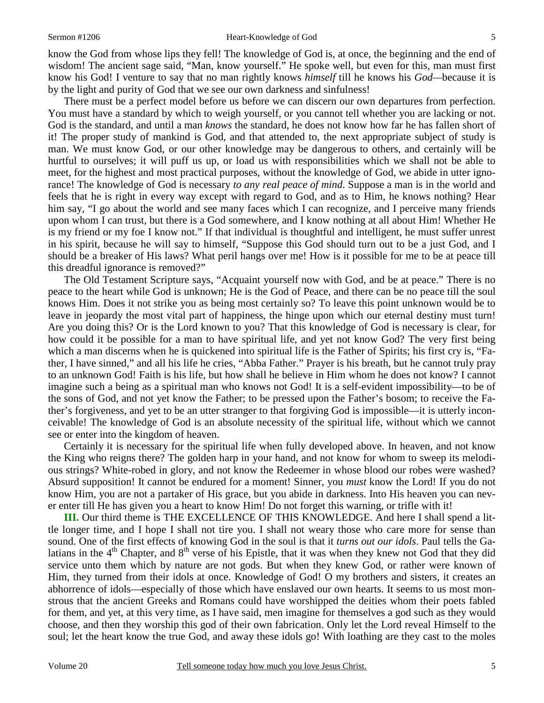#### Sermon #1206 Heart-Knowledge of God

know the God from whose lips they fell! The knowledge of God is, at once, the beginning and the end of wisdom! The ancient sage said, "Man, know yourself." He spoke well, but even for this, man must first know his God! I venture to say that no man rightly knows *himself* till he knows his *God—*because it is by the light and purity of God that we see our own darkness and sinfulness!

There must be a perfect model before us before we can discern our own departures from perfection. You must have a standard by which to weigh yourself, or you cannot tell whether you are lacking or not. God is the standard, and until a man *knows* the standard, he does not know how far he has fallen short of it! The proper study of mankind is God, and that attended to, the next appropriate subject of study is man. We must know God, or our other knowledge may be dangerous to others, and certainly will be hurtful to ourselves; it will puff us up, or load us with responsibilities which we shall not be able to meet, for the highest and most practical purposes, without the knowledge of God, we abide in utter ignorance! The knowledge of God is necessary *to any real peace of mind*. Suppose a man is in the world and feels that he is right in every way except with regard to God, and as to Him, he knows nothing? Hear him say, "I go about the world and see many faces which I can recognize, and I perceive many friends upon whom I can trust, but there is a God somewhere, and I know nothing at all about Him! Whether He is my friend or my foe I know not." If that individual is thoughtful and intelligent, he must suffer unrest in his spirit, because he will say to himself, "Suppose this God should turn out to be a just God, and I should be a breaker of His laws? What peril hangs over me! How is it possible for me to be at peace till this dreadful ignorance is removed?"

The Old Testament Scripture says, "Acquaint yourself now with God, and be at peace." There is no peace to the heart while God is unknown; He is the God of Peace, and there can be no peace till the soul knows Him. Does it not strike you as being most certainly so? To leave this point unknown would be to leave in jeopardy the most vital part of happiness, the hinge upon which our eternal destiny must turn! Are you doing this? Or is the Lord known to you? That this knowledge of God is necessary is clear, for how could it be possible for a man to have spiritual life, and yet not know God? The very first being which a man discerns when he is quickened into spiritual life is the Father of Spirits; his first cry is, "Father, I have sinned," and all his life he cries, "Abba Father." Prayer is his breath, but he cannot truly pray to an unknown God! Faith is his life, but how shall he believe in Him whom he does not know? I cannot imagine such a being as a spiritual man who knows not God! It is a self-evident impossibility—to be of the sons of God, and not yet know the Father; to be pressed upon the Father's bosom; to receive the Father's forgiveness, and yet to be an utter stranger to that forgiving God is impossible—it is utterly inconceivable! The knowledge of God is an absolute necessity of the spiritual life, without which we cannot see or enter into the kingdom of heaven.

Certainly it is necessary for the spiritual life when fully developed above. In heaven, and not know the King who reigns there? The golden harp in your hand, and not know for whom to sweep its melodious strings? White-robed in glory, and not know the Redeemer in whose blood our robes were washed? Absurd supposition! It cannot be endured for a moment! Sinner, you *must* know the Lord! If you do not know Him, you are not a partaker of His grace, but you abide in darkness. Into His heaven you can never enter till He has given you a heart to know Him! Do not forget this warning, or trifle with it!

**III.** Our third theme is THE EXCELLENCE OF THIS KNOWLEDGE. And here I shall spend a little longer time, and I hope I shall not tire you. I shall not weary those who care more for sense than sound. One of the first effects of knowing God in the soul is that it *turns out our idols*. Paul tells the Galatians in the  $4<sup>th</sup>$  Chapter, and  $8<sup>th</sup>$  verse of his Epistle, that it was when they knew not God that they did service unto them which by nature are not gods. But when they knew God, or rather were known of Him, they turned from their idols at once. Knowledge of God! O my brothers and sisters, it creates an abhorrence of idols—especially of those which have enslaved our own hearts. It seems to us most monstrous that the ancient Greeks and Romans could have worshipped the deities whom their poets fabled for them, and yet, at this very time, as I have said, men imagine for themselves a god such as they would choose, and then they worship this god of their own fabrication. Only let the Lord reveal Himself to the soul; let the heart know the true God, and away these idols go! With loathing are they cast to the moles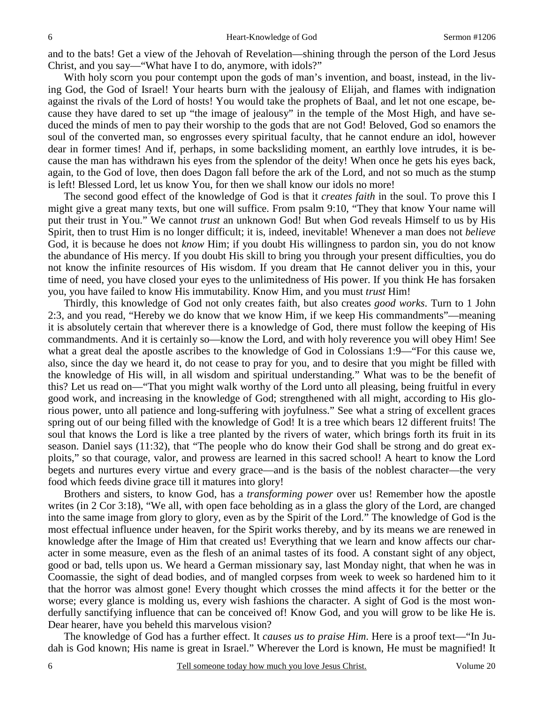and to the bats! Get a view of the Jehovah of Revelation—shining through the person of the Lord Jesus Christ, and you say—"What have I to do, anymore, with idols?"

With holy scorn you pour contempt upon the gods of man's invention, and boast, instead, in the living God, the God of Israel! Your hearts burn with the jealousy of Elijah, and flames with indignation against the rivals of the Lord of hosts! You would take the prophets of Baal, and let not one escape, because they have dared to set up "the image of jealousy" in the temple of the Most High, and have seduced the minds of men to pay their worship to the gods that are not God! Beloved, God so enamors the soul of the converted man, so engrosses every spiritual faculty, that he cannot endure an idol, however dear in former times! And if, perhaps, in some backsliding moment, an earthly love intrudes, it is because the man has withdrawn his eyes from the splendor of the deity! When once he gets his eyes back, again, to the God of love, then does Dagon fall before the ark of the Lord, and not so much as the stump is left! Blessed Lord, let us know You, for then we shall know our idols no more!

The second good effect of the knowledge of God is that it *creates faith* in the soul. To prove this I might give a great many texts, but one will suffice. From psalm 9:10, "They that know Your name will put their trust in You." We cannot *trust* an unknown God! But when God reveals Himself to us by His Spirit, then to trust Him is no longer difficult; it is, indeed, inevitable! Whenever a man does not *believe* God, it is because he does not *know* Him; if you doubt His willingness to pardon sin, you do not know the abundance of His mercy. If you doubt His skill to bring you through your present difficulties, you do not know the infinite resources of His wisdom. If you dream that He cannot deliver you in this, your time of need, you have closed your eyes to the unlimitedness of His power. If you think He has forsaken you, you have failed to know His immutability. Know Him, and you must *trust* Him!

Thirdly, this knowledge of God not only creates faith, but also creates *good works*. Turn to 1 John 2:3, and you read, "Hereby we do know that we know Him, if we keep His commandments"—meaning it is absolutely certain that wherever there is a knowledge of God, there must follow the keeping of His commandments. And it is certainly so—know the Lord, and with holy reverence you will obey Him! See what a great deal the apostle ascribes to the knowledge of God in Colossians 1:9—"For this cause we, also, since the day we heard it, do not cease to pray for you, and to desire that you might be filled with the knowledge of His will, in all wisdom and spiritual understanding." What was to be the benefit of this? Let us read on—"That you might walk worthy of the Lord unto all pleasing, being fruitful in every good work, and increasing in the knowledge of God; strengthened with all might, according to His glorious power, unto all patience and long-suffering with joyfulness." See what a string of excellent graces spring out of our being filled with the knowledge of God! It is a tree which bears 12 different fruits! The soul that knows the Lord is like a tree planted by the rivers of water, which brings forth its fruit in its season. Daniel says (11:32), that "The people who do know their God shall be strong and do great exploits," so that courage, valor, and prowess are learned in this sacred school! A heart to know the Lord begets and nurtures every virtue and every grace—and is the basis of the noblest character—the very food which feeds divine grace till it matures into glory!

Brothers and sisters, to know God, has a *transforming power* over us! Remember how the apostle writes (in 2 Cor 3:18), "We all, with open face beholding as in a glass the glory of the Lord, are changed into the same image from glory to glory, even as by the Spirit of the Lord." The knowledge of God is the most effectual influence under heaven, for the Spirit works thereby, and by its means we are renewed in knowledge after the Image of Him that created us! Everything that we learn and know affects our character in some measure, even as the flesh of an animal tastes of its food. A constant sight of any object, good or bad, tells upon us. We heard a German missionary say, last Monday night, that when he was in Coomassie, the sight of dead bodies, and of mangled corpses from week to week so hardened him to it that the horror was almost gone! Every thought which crosses the mind affects it for the better or the worse; every glance is molding us, every wish fashions the character. A sight of God is the most wonderfully sanctifying influence that can be conceived of! Know God, and you will grow to be like He is. Dear hearer, have you beheld this marvelous vision?

The knowledge of God has a further effect. It *causes us to praise Him*. Here is a proof text—"In Judah is God known; His name is great in Israel." Wherever the Lord is known, He must be magnified! It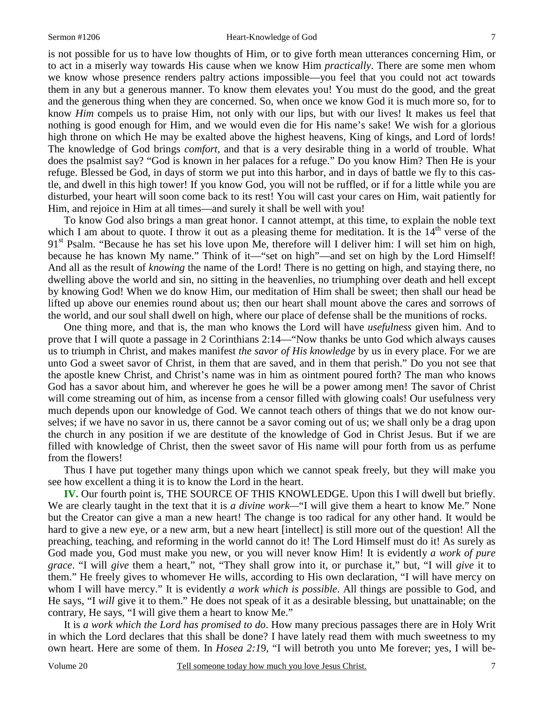is not possible for us to have low thoughts of Him, or to give forth mean utterances concerning Him, or to act in a miserly way towards His cause when we know Him *practically*. There are some men whom we know whose presence renders paltry actions impossible—you feel that you could not act towards them in any but a generous manner. To know them elevates you! You must do the good, and the great and the generous thing when they are concerned. So, when once we know God it is much more so, for to know *Him* compels us to praise Him, not only with our lips, but with our lives! It makes us feel that nothing is good enough for Him, and we would even die for His name's sake! We wish for a glorious high throne on which He may be exalted above the highest heavens, King of kings, and Lord of lords! The knowledge of God brings *comfort,* and that is a very desirable thing in a world of trouble. What does the psalmist say? "God is known in her palaces for a refuge." Do you know Him? Then He is your refuge. Blessed be God, in days of storm we put into this harbor, and in days of battle we fly to this castle, and dwell in this high tower! If you know God, you will not be ruffled, or if for a little while you are disturbed, your heart will soon come back to its rest! You will cast your cares on Him, wait patiently for Him, and rejoice in Him at all times—and surely it shall be well with you!

To know God also brings a man great honor. I cannot attempt, at this time, to explain the noble text which I am about to quote. I throw it out as a pleasing theme for meditation. It is the  $14<sup>th</sup>$  verse of the  $91<sup>st</sup>$  Psalm. "Because he has set his love upon Me, therefore will I deliver him: I will set him on high, because he has known My name." Think of it—"set on high"—and set on high by the Lord Himself! And all as the result of *knowing* the name of the Lord! There is no getting on high, and staying there, no dwelling above the world and sin, no sitting in the heavenlies, no triumphing over death and hell except by knowing God! When we do know Him, our meditation of Him shall be sweet; then shall our head be lifted up above our enemies round about us; then our heart shall mount above the cares and sorrows of the world, and our soul shall dwell on high, where our place of defense shall be the munitions of rocks.

One thing more, and that is, the man who knows the Lord will have *usefulness* given him. And to prove that I will quote a passage in 2 Corinthians 2:14—"Now thanks be unto God which always causes us to triumph in Christ, and makes manifest *the savor of His knowledge* by us in every place. For we are unto God a sweet savor of Christ, in them that are saved, and in them that perish." Do you not see that the apostle knew Christ, and Christ's name was in him as ointment poured forth? The man who knows God has a savor about him, and wherever he goes he will be a power among men! The savor of Christ will come streaming out of him, as incense from a censor filled with glowing coals! Our usefulness very much depends upon our knowledge of God. We cannot teach others of things that we do not know ourselves; if we have no savor in us, there cannot be a savor coming out of us; we shall only be a drag upon the church in any position if we are destitute of the knowledge of God in Christ Jesus. But if we are filled with knowledge of Christ, then the sweet savor of His name will pour forth from us as perfume from the flowers!

Thus I have put together many things upon which we cannot speak freely, but they will make you see how excellent a thing it is to know the Lord in the heart.

**IV.** Our fourth point is, THE SOURCE OF THIS KNOWLEDGE. Upon this I will dwell but briefly. We are clearly taught in the text that it is *a divine work—*"I will give them a heart to know Me." None but the Creator can give a man a new heart! The change is too radical for any other hand. It would be hard to give a new eye, or a new arm, but a new heart [intellect] is still more out of the question! All the preaching, teaching, and reforming in the world cannot do it! The Lord Himself must do it! As surely as God made you, God must make you new, or you will never know Him! It is evidently *a work of pure grace*. "I will *give* them a heart," not, "They shall grow into it, or purchase it," but, "I will *give* it to them." He freely gives to whomever He wills, according to His own declaration, "I will have mercy on whom I will have mercy." It is evidently *a work which is possible*. All things are possible to God, and He says, "I *will* give it to them." He does not speak of it as a desirable blessing, but unattainable; on the contrary, He says, "I will give them a heart to know Me."

It is *a work which the Lord has promised to do*. How many precious passages there are in Holy Writ in which the Lord declares that this shall be done? I have lately read them with much sweetness to my own heart. Here are some of them. In *Hosea 2:1*9, "I will betroth you unto Me forever; yes, I will be-